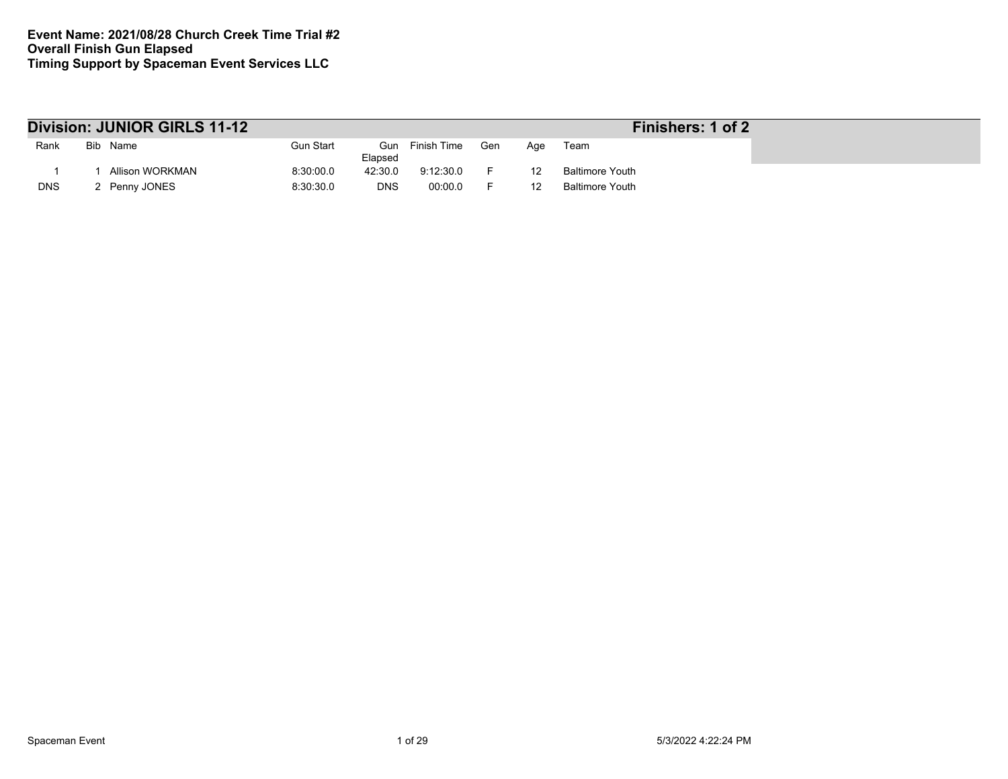|            | Division: JUNIOR GIRLS 11-12 |           |            |                 |     |     | Finishers: 1 of 2      |
|------------|------------------------------|-----------|------------|-----------------|-----|-----|------------------------|
| Rank       | Bib Name                     | Gun Start | Elapsed    | Gun Finish Time | Gen | Age | Team                   |
|            | Allison WORKMAN              | 8:30:00.0 | 42:30.0    | 9:12:30.0       |     |     | <b>Baltimore Youth</b> |
| <b>DNS</b> | 2 Penny JONES                | 8:30:30.0 | <b>DNS</b> | 00:00.0         |     |     | <b>Baltimore Youth</b> |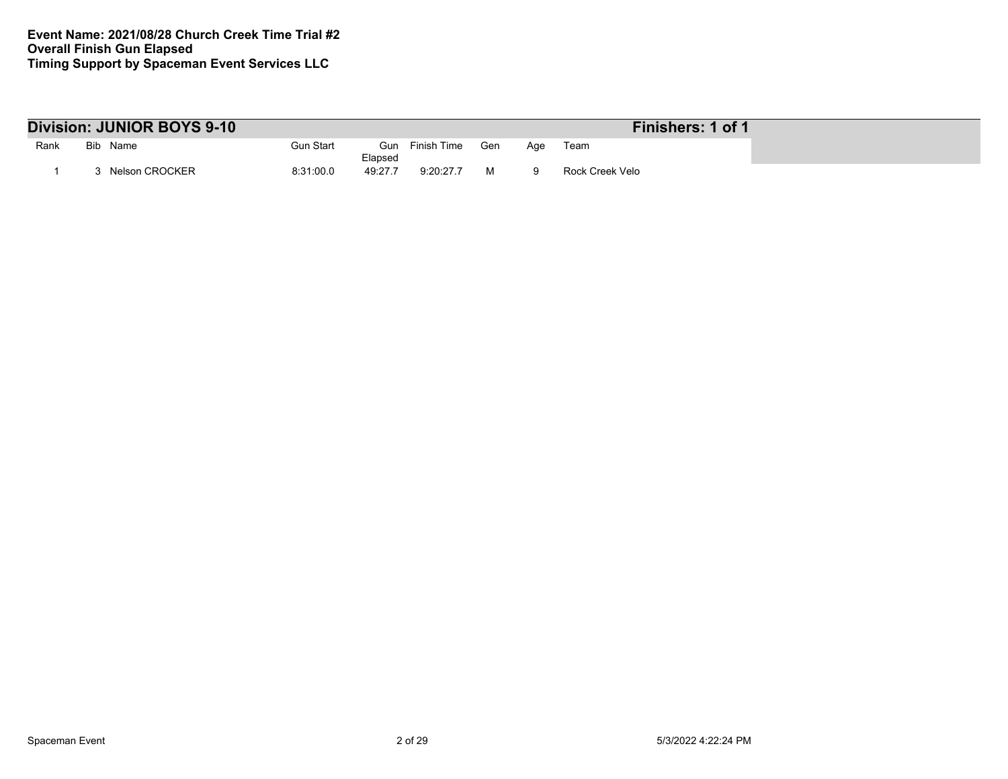|      | Division: JUNIOR BOYS 9-10 |                             |             |     |     | Finishers: 1 of 1 |
|------|----------------------------|-----------------------------|-------------|-----|-----|-------------------|
| Rank | Bib Name                   | Gun Start<br>Gun<br>Elapsed | Finish Time | Gen | Aqe | Team              |
|      | Nelson CROCKER             | 8:31:00.0<br>49:27.7        | 9:20:27.7   |     |     | Rock Creek Velo   |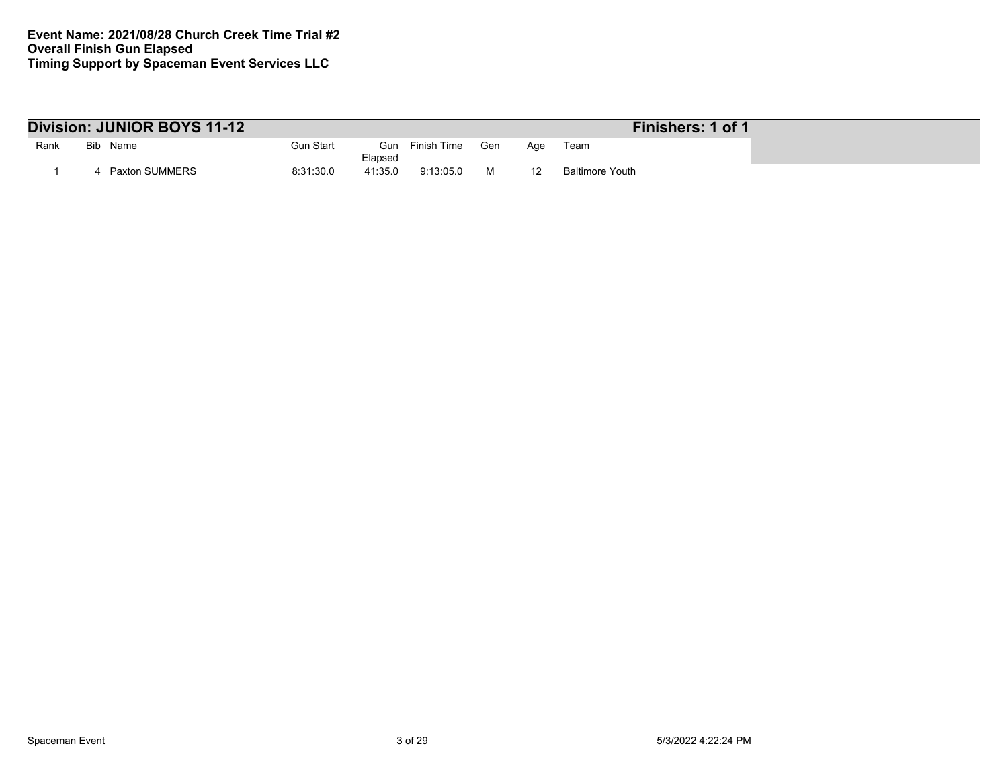|      | Division: JUNIOR BOYS 11-12 |           | Finishers: 1 of 1 |             |     |     |                 |
|------|-----------------------------|-----------|-------------------|-------------|-----|-----|-----------------|
| Rank | Bib Name                    | Gun Start | Gun<br>Elapsed    | Finish Time | Gen | Aae | Team            |
|      | Paxton SUMMERS              | 8:31:30.0 | 41:35.0           | 9:13:05.0   |     |     | Baltimore Youth |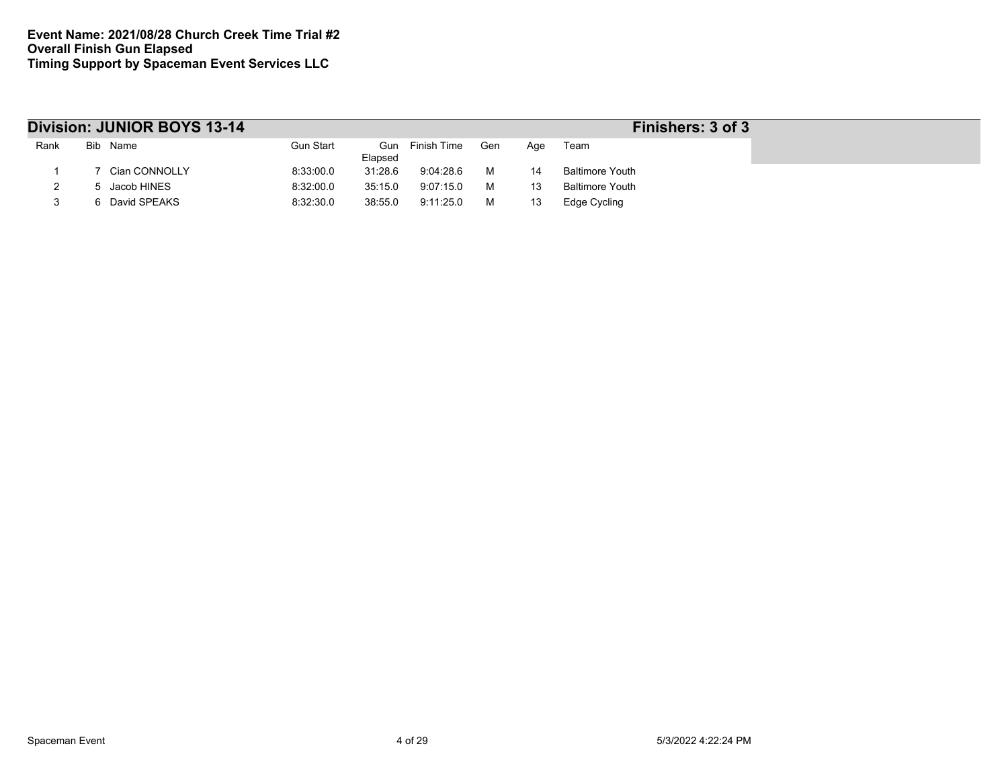|      | Division: JUNIOR BOYS 13-14 |                  |         |                 |     |     | Finishers: 3 of 3      |
|------|-----------------------------|------------------|---------|-----------------|-----|-----|------------------------|
| Rank | Bib Name                    | <b>Gun Start</b> | Elapsed | Gun Finish Time | Gen | Age | Team                   |
|      | Cian CONNOLLY               | 8:33:00.0        | 31:28.6 | 9:04:28.6       | м   | 14  | <b>Baltimore Youth</b> |
|      | Jacob HINES                 | 8:32:00.0        | 35:15.0 | 9:07:15.0       | м   |     | <b>Baltimore Youth</b> |
|      | 6 David SPEAKS              | 8:32:30.0        | 38:55.0 | 9:11:25.0       | м   |     | Edge Cycling           |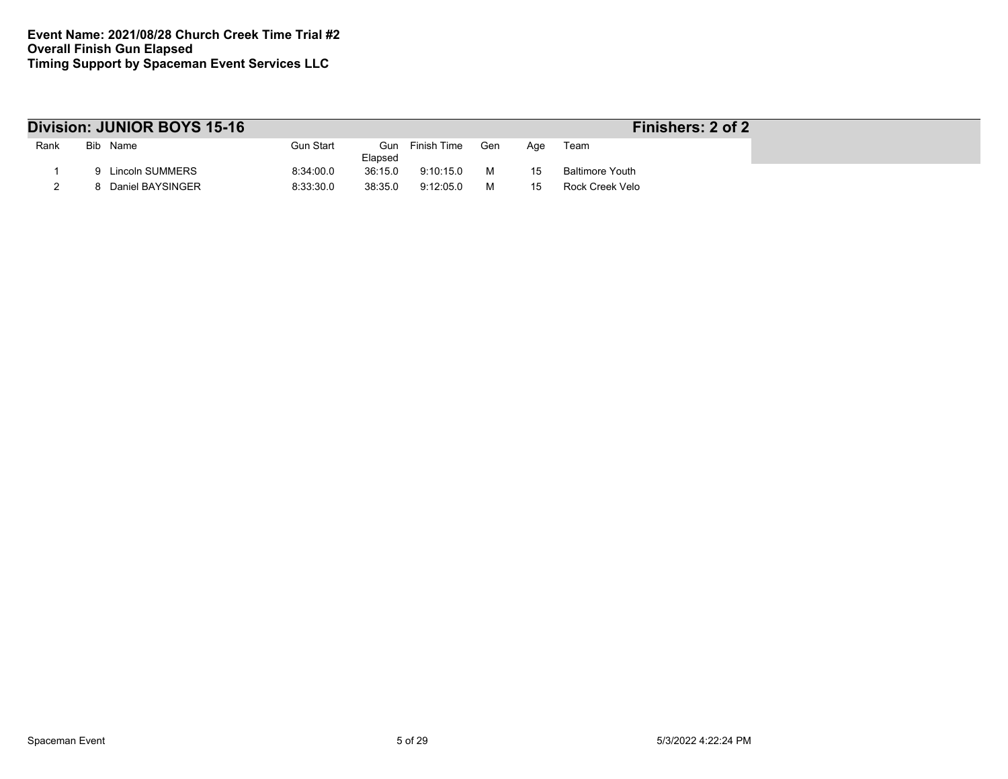|      | Division: JUNIOR BOYS 15-16 |                  |         |                 |     |     | Finishers: 2 of 2      |
|------|-----------------------------|------------------|---------|-----------------|-----|-----|------------------------|
| Rank | Bib Name                    | <b>Gun Start</b> | Elapsed | Gun Finish Time | Gen | Aae | Team                   |
|      | Lincoln SUMMERS             | 8:34:00.0        | 36:15.0 | 9:10:15.0       | м   | 15  | <b>Baltimore Youth</b> |
|      | Daniel BAYSINGER            | 8:33:30.0        | 38:35.0 | 9:12:05.0       | м   |     | Rock Creek Velo        |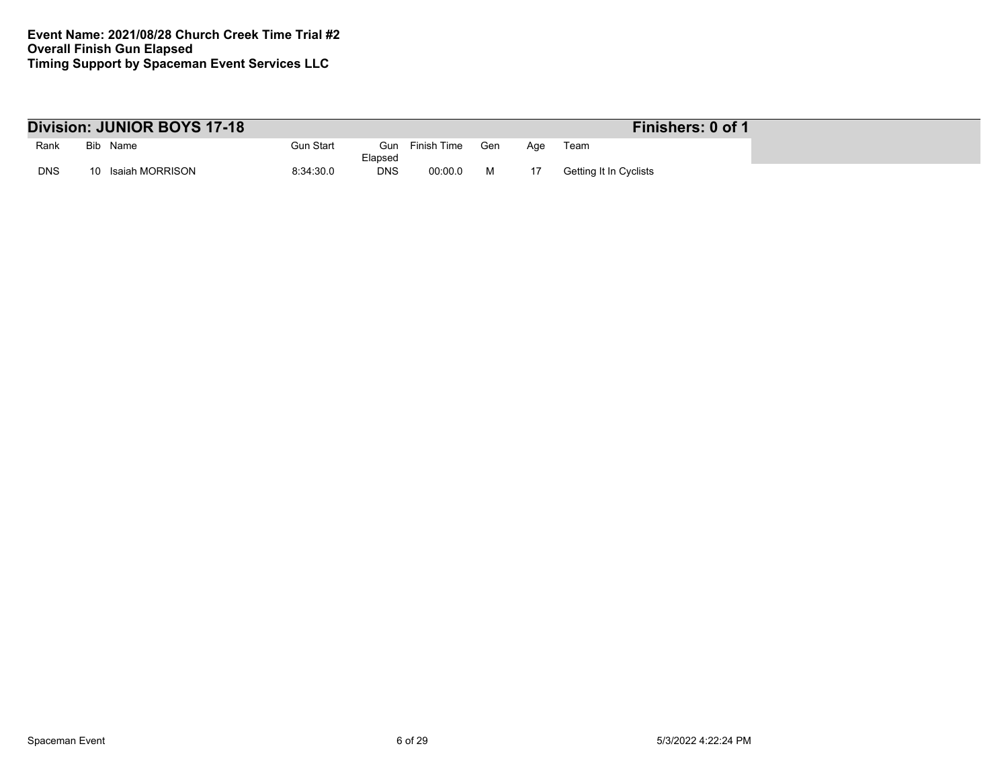|            | Division: JUNIOR BOYS 17-18 |                  |                |             |     |     | Finishers: 0 of 1      |
|------------|-----------------------------|------------------|----------------|-------------|-----|-----|------------------------|
| Rank       | Bib Name                    | <b>Gun Start</b> | Gun<br>Elapsed | Finish Time | Gen | Aqe | Team                   |
| <b>DNS</b> | Isaiah MORRISON<br>10       | 8:34:30.0        | <b>DNS</b>     | 00:00.0     | M   |     | Getting It In Cyclists |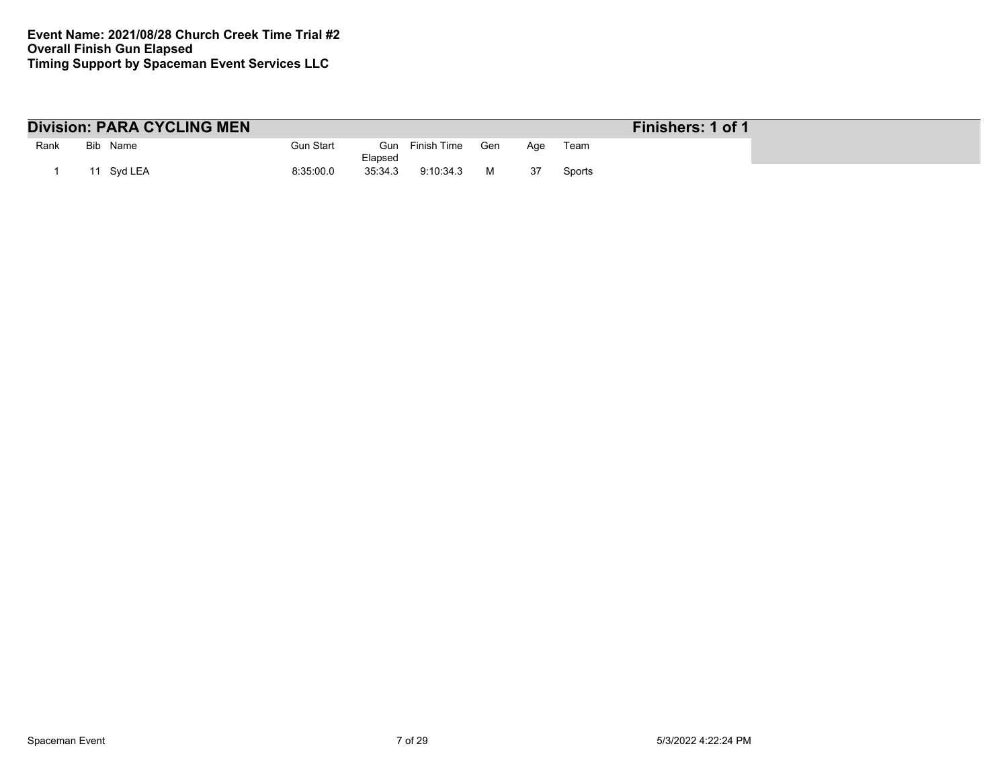|      | <b>Division: PARA CYCLING MEN</b> |           |         |                 |     |     |        | Finishers: 1 of 1 |
|------|-----------------------------------|-----------|---------|-----------------|-----|-----|--------|-------------------|
| Rank | Bib Name                          | Gun Start | Elapsed | Gun Finish Time | Gen | Aae | Team   |                   |
|      | Svd LEA                           | 8:35:00.0 | 35:34.3 | 9:10:34.3       | M   | -37 | Sports |                   |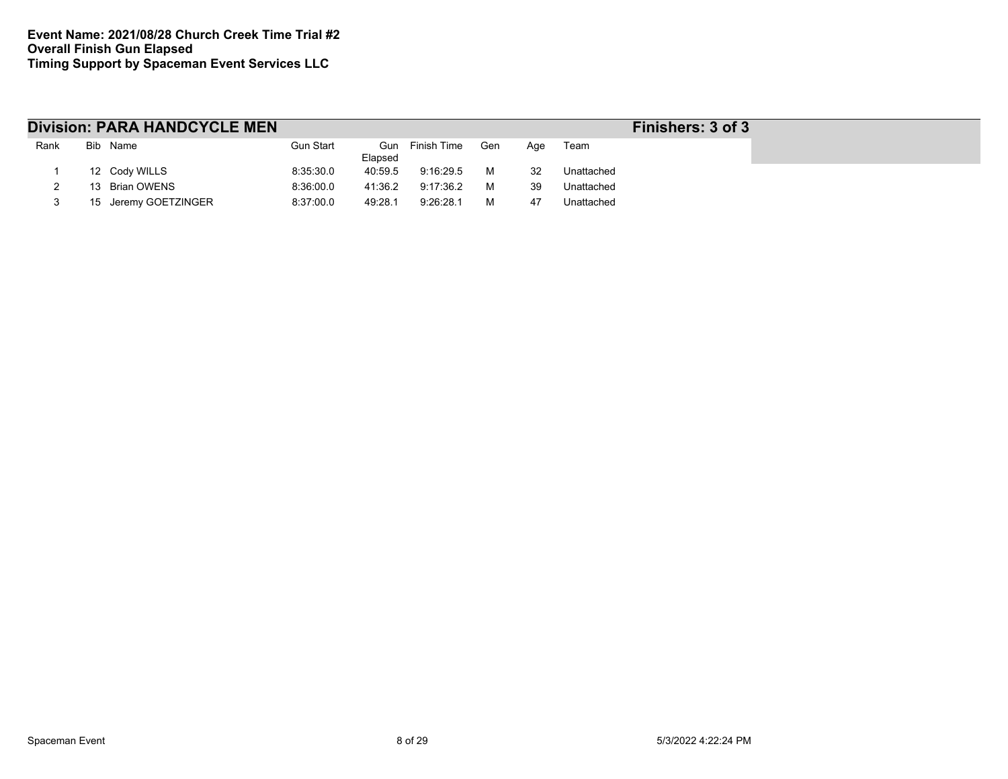|      | <b>Division: PARA HANDCYCLE MEN</b> |                  |                |             |     |     |            | Finishers: 3 of 3 |
|------|-------------------------------------|------------------|----------------|-------------|-----|-----|------------|-------------------|
| Rank | Bib Name                            | <b>Gun Start</b> | Gun<br>Elapsed | Finish Time | Gen | Aae | Team       |                   |
|      | 12 Cody WILLS                       | 8:35:30.0        | 40:59.5        | 9:16:29.5   | м   | 32  | Unattached |                   |
|      | 13 Brian OWENS                      | 8:36:00.0        | 41:36.2        | 9:17:36.2   | м   | 39  | Unattached |                   |
|      | 15 Jeremy GOETZINGER                | 8:37:00.0        | 49:28.1        | 9:26:28.1   | м   | 47  | Unattached |                   |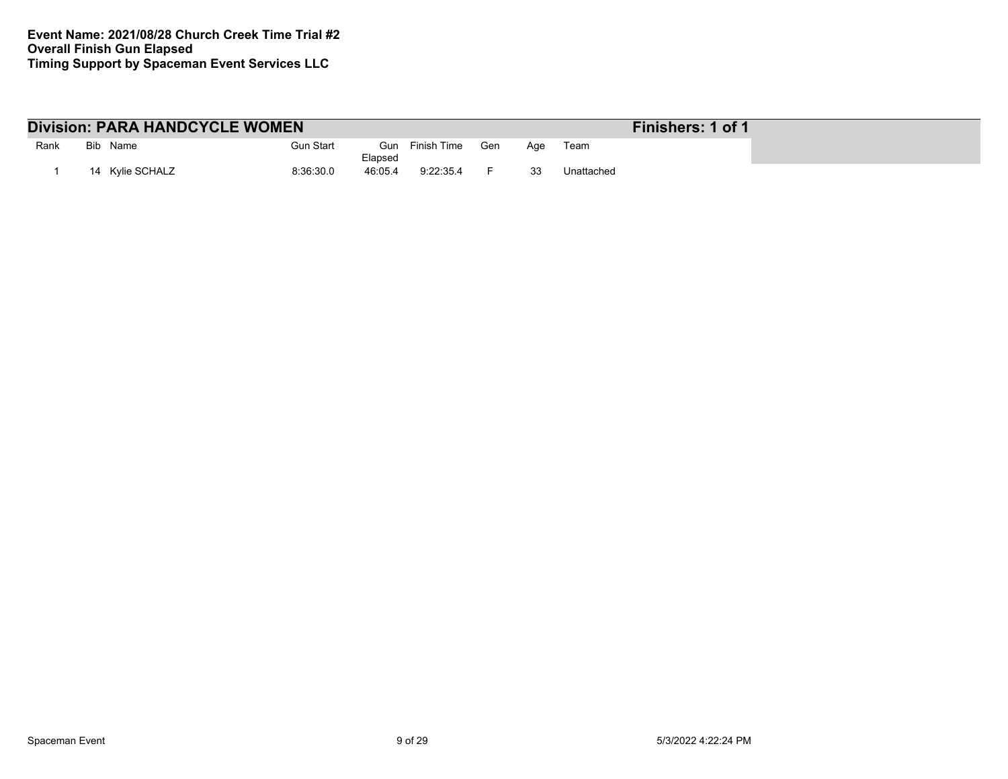|      | <b>Division: PARA HANDCYCLE WOMEN</b> |           |                |             | Finishers: 1 of 1 |     |            |  |
|------|---------------------------------------|-----------|----------------|-------------|-------------------|-----|------------|--|
| Rank | Bib Name                              | Gun Start | Gun<br>Elapsed | Finish Time | Gen               | Aae | Team       |  |
|      | 14 Kvlie SCHALZ                       | 8:36:30.0 | 46:05.4        | 9:22:35.4   |                   | 33  | Unattached |  |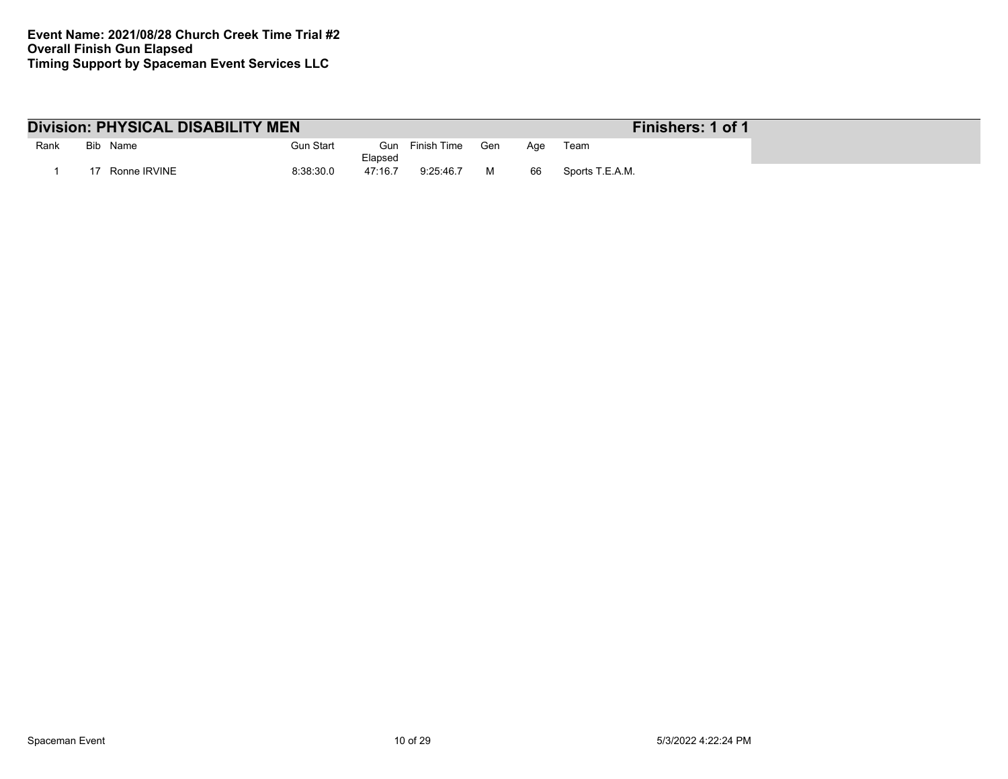|      |     | <b>Division: PHYSICAL DISABILITY MEN</b> |           |                |             |     |     | Finishers: 1 of 1 |
|------|-----|------------------------------------------|-----------|----------------|-------------|-----|-----|-------------------|
| Rank | Bib | Name                                     | Gun Start | Gun<br>Elapsed | Finish Time | Gen | Age | Team              |
|      |     | Ronne IRVINE                             | 8:38:30.0 | 47:16.7        | 9:25:46.7   |     | 66  | Sports T.E.A.M.   |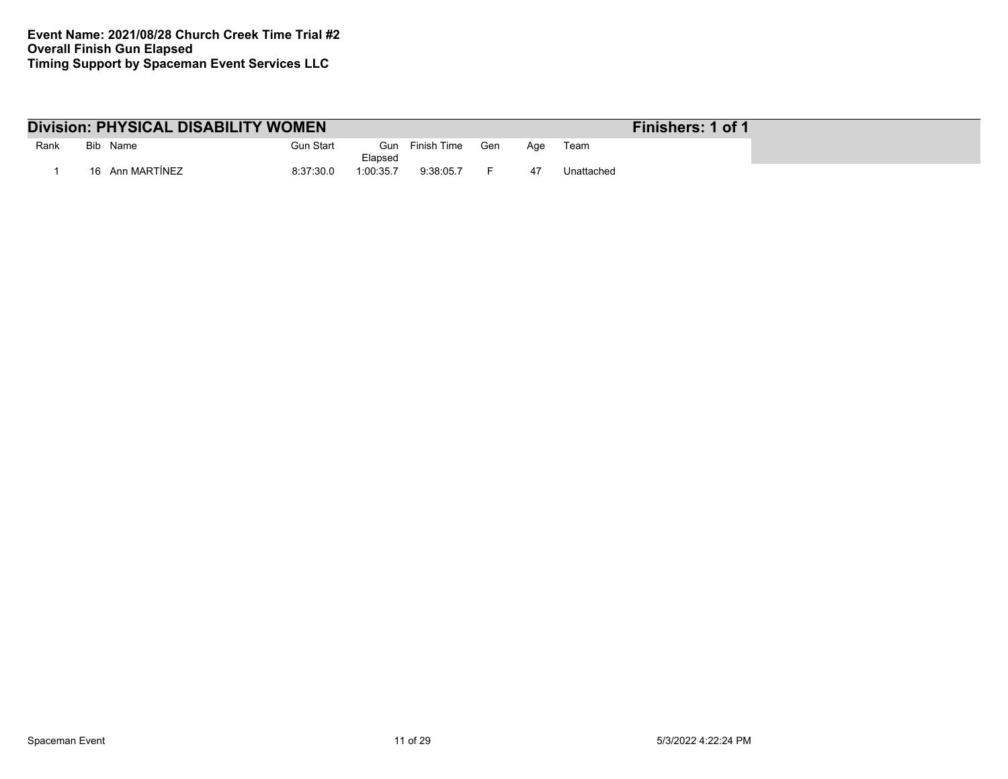|      | <b>Division: PHYSICAL DISABILITY WOMEN</b> |                  |                |             |     |     |            | Finishers: 1 of 1 |
|------|--------------------------------------------|------------------|----------------|-------------|-----|-----|------------|-------------------|
| Rank | Bib Name                                   | <b>Gun Start</b> | Gun<br>Elapsed | Finish Time | Gen | Aqe | Team       |                   |
|      | 16 Ann MARTINEZ                            | 8:37:30.0        | 1:00:35.7      | 9:38:05.7   |     |     | Unattached |                   |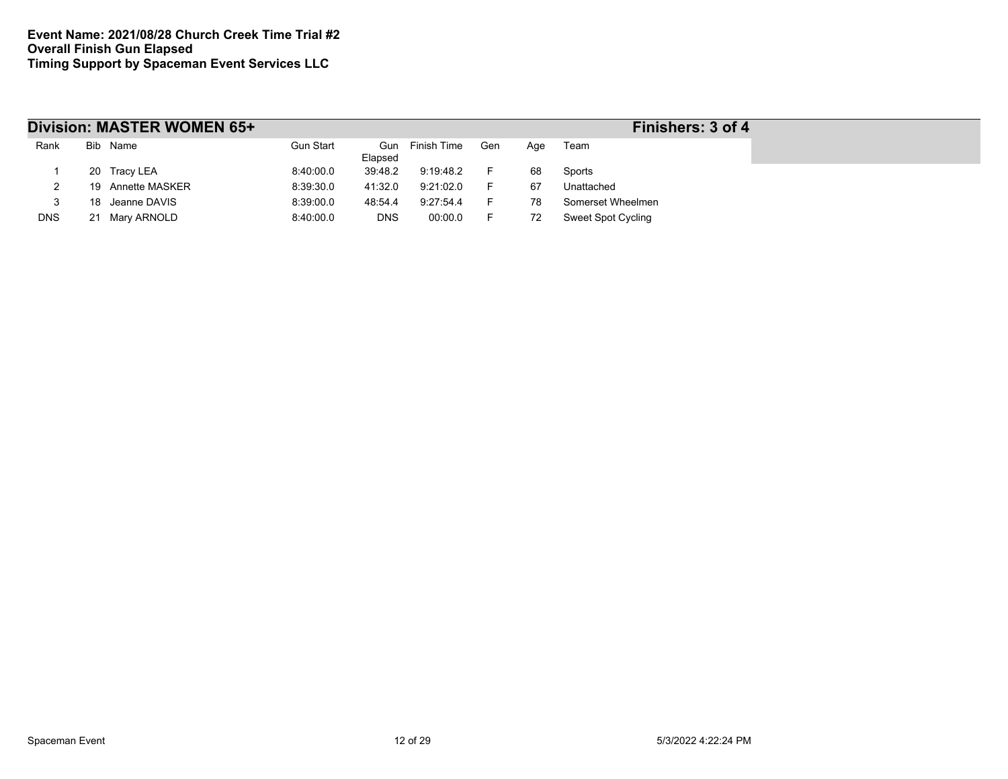|            |    | Division: MASTER WOMEN 65+ |           |            |                 |     |     | Finishers: 3 of 4         |
|------------|----|----------------------------|-----------|------------|-----------------|-----|-----|---------------------------|
| Rank       |    | Bib Name                   | Gun Start | Elapsed    | Gun Finish Time | Gen | Age | Team                      |
|            |    | 20 Tracy LEA               | 8:40:00.0 | 39:48.2    | 9:19:48.2       | F.  | 68  | Sports                    |
|            |    | 19 Annette MASKER          | 8:39:30.0 | 41:32.0    | 9:21:02.0       | F.  | 67  | Unattached                |
|            | 18 | Jeanne DAVIS               | 8:39:00.0 | 48:54.4    | 9:27:54.4       | F.  | 78  | Somerset Wheelmen         |
| <b>DNS</b> |    | 21 Mary ARNOLD             | 8:40:00.0 | <b>DNS</b> | 00:00.0         | F.  | 72  | <b>Sweet Spot Cycling</b> |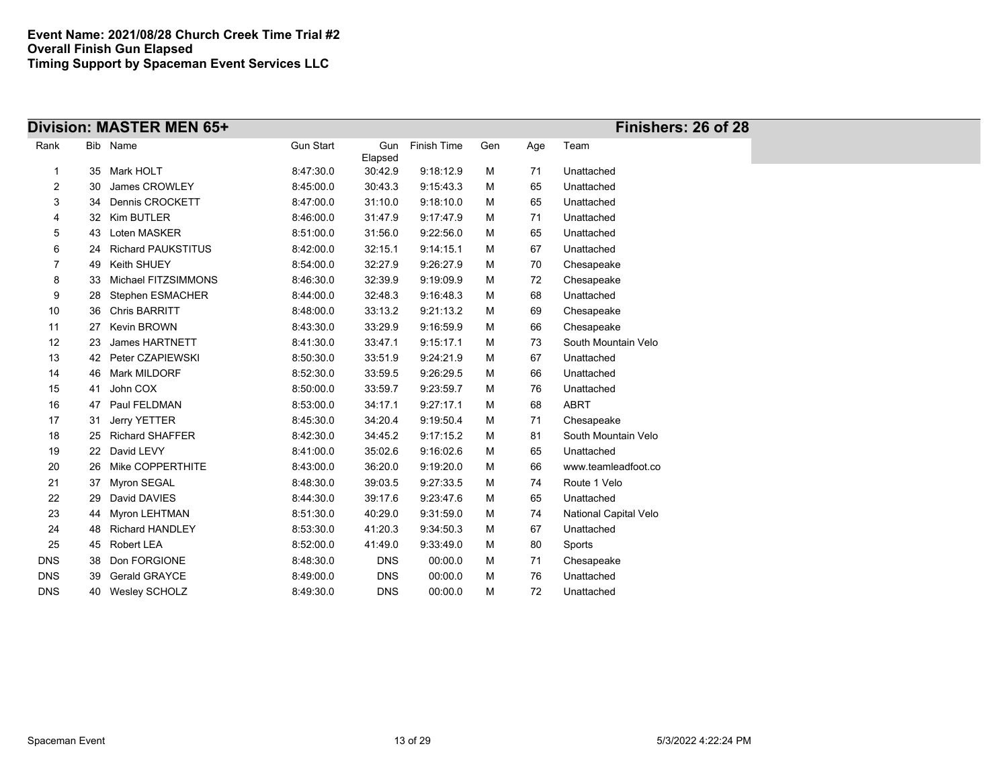|                |    | Division: MASTER MEN 65+  |                  |                |             |     |     | Finishers: 26 of 28   |  |
|----------------|----|---------------------------|------------------|----------------|-------------|-----|-----|-----------------------|--|
| Rank           |    | Bib Name                  | <b>Gun Start</b> | Gun<br>Elapsed | Finish Time | Gen | Age | Team                  |  |
| $\mathbf{1}$   | 35 | Mark HOLT                 | 8:47:30.0        | 30:42.9        | 9:18:12.9   | М   | 71  | Unattached            |  |
| $\overline{c}$ | 30 | James CROWLEY             | 8:45:00.0        | 30:43.3        | 9:15:43.3   | м   | 65  | Unattached            |  |
| 3              | 34 | Dennis CROCKETT           | 8:47:00.0        | 31:10.0        | 9:18:10.0   | м   | 65  | Unattached            |  |
| 4              | 32 | Kim BUTLER                | 8:46:00.0        | 31.47.9        | 9:17:47.9   | м   | 71  | Unattached            |  |
| 5              | 43 | Loten MASKER              | 8.51.00.0        | 31:56.0        | 9:22:56.0   | м   | 65  | Unattached            |  |
| 6              | 24 | <b>Richard PAUKSTITUS</b> | 8:42:00.0        | 32:15.1        | 9:14:15.1   | м   | 67  | Unattached            |  |
| 7              | 49 | Keith SHUEY               | 8:54:00.0        | 32:27.9        | 9:26:27.9   | м   | 70  | Chesapeake            |  |
| 8              | 33 | Michael FITZSIMMONS       | 8:46:30.0        | 32:39.9        | 9:19:09.9   | м   | 72  | Chesapeake            |  |
| 9              | 28 | Stephen ESMACHER          | 8:44:00.0        | 32:48.3        | 9:16:48.3   | м   | 68  | Unattached            |  |
| 10             | 36 | <b>Chris BARRITT</b>      | 8:48:00.0        | 33:13.2        | 9:21:13.2   | м   | 69  | Chesapeake            |  |
| 11             | 27 | Kevin BROWN               | 8.43.30.0        | 33:29.9        | 9:16:59.9   | м   | 66  | Chesapeake            |  |
| 12             | 23 | James HARTNETT            | 8:41:30.0        | 33.47.1        | 9:15:17.1   | м   | 73  | South Mountain Velo   |  |
| 13             | 42 | Peter CZAPIEWSKI          | 8.50.30.0        | 33:51.9        | 9:24:21.9   | м   | 67  | Unattached            |  |
| 14             | 46 | <b>Mark MILDORF</b>       | 8:52:30.0        | 33.59.5        | 9:26:29.5   | м   | 66  | Unattached            |  |
| 15             | 41 | John COX                  | 8:50:00.0        | 33:59.7        | 9:23:59.7   | М   | 76  | Unattached            |  |
| 16             | 47 | Paul FELDMAN              | 8:53:00.0        | 34:17.1        | 9:27:17.1   | м   | 68  | <b>ABRT</b>           |  |
| 17             | 31 | Jerry YETTER              | 8:45:30.0        | 34:20.4        | 9:19:50.4   | м   | 71  | Chesapeake            |  |
| 18             | 25 | <b>Richard SHAFFER</b>    | 8:42:30.0        | 34.45.2        | 9:17:15.2   | м   | 81  | South Mountain Velo   |  |
| 19             | 22 | David LEVY                | 8:41:00.0        | 35:02.6        | 9:16:02.6   | м   | 65  | Unattached            |  |
| 20             | 26 | Mike COPPERTHITE          | 8:43:00.0        | 36:20.0        | 9:19:20.0   | М   | 66  | www.teamleadfoot.co   |  |
| 21             | 37 | Myron SEGAL               | 8:48:30.0        | 39:03.5        | 9:27:33.5   | м   | 74  | Route 1 Velo          |  |
| 22             | 29 | David DAVIES              | 8:44:30.0        | 39.17.6        | 9:23:47.6   | М   | 65  | Unattached            |  |
| 23             | 44 | Myron LEHTMAN             | 8:51:30.0        | 40:29.0        | 9:31:59.0   | м   | 74  | National Capital Velo |  |
| 24             | 48 | <b>Richard HANDLEY</b>    | 8:53:30.0        | 41:20.3        | 9:34:50.3   | м   | 67  | Unattached            |  |
| 25             | 45 | Robert LEA                | 8:52:00.0        | 41:49.0        | 9:33:49.0   | м   | 80  | Sports                |  |
| <b>DNS</b>     | 38 | Don FORGIONE              | 8:48:30.0        | <b>DNS</b>     | 00:00.0     | м   | 71  | Chesapeake            |  |
| <b>DNS</b>     | 39 | <b>Gerald GRAYCE</b>      | 8:49:00.0        | <b>DNS</b>     | 00:00.0     | М   | 76  | Unattached            |  |
| <b>DNS</b>     |    | 40 Wesley SCHOLZ          | 8:49:30.0        | <b>DNS</b>     | 00:00.0     | М   | 72  | Unattached            |  |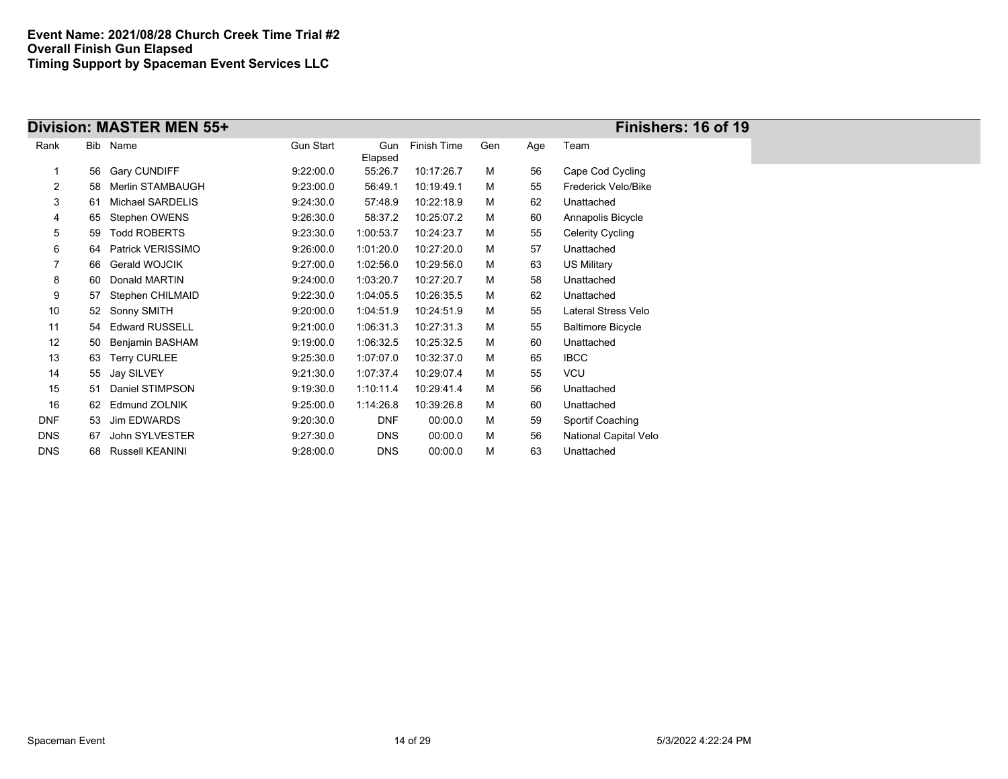|            |    | Division: MASTER MEN 55+ |                  |                |             |     |     | Finishers: 16 of 19      |
|------------|----|--------------------------|------------------|----------------|-------------|-----|-----|--------------------------|
| Rank       |    | Bib Name                 | <b>Gun Start</b> | Gun<br>Elapsed | Finish Time | Gen | Age | Team                     |
|            | 56 | <b>Gary CUNDIFF</b>      | 9.22:00.0        | 55:26.7        | 10:17:26.7  | м   | 56  | Cape Cod Cycling         |
| 2          | 58 | Merlin STAMBAUGH         | 9:23:00.0        | 56:49.1        | 10:19:49.1  | м   | 55  | Frederick Velo/Bike      |
| 3          | 61 | Michael SARDELIS         | 9.24:30.0        | 57:48.9        | 10:22:18.9  | м   | 62  | Unattached               |
| 4          | 65 | Stephen OWENS            | 9:26:30.0        | 58:37.2        | 10:25:07.2  | м   | 60  | Annapolis Bicycle        |
| 5          | 59 | <b>Todd ROBERTS</b>      | 9:23:30.0        | 1:00:53.7      | 10:24:23.7  | м   | 55  | Celerity Cycling         |
| 6          | 64 | Patrick VERISSIMO        | 9:26:00.0        | 1:01:20.0      | 10:27:20.0  | М   | 57  | Unattached               |
| 7          | 66 | Gerald WOJCIK            | 9:27:00.0        | 1:02:56.0      | 10:29:56.0  | м   | 63  | US Military              |
| 8          | 60 | Donald MARTIN            | 9:24:00.0        | 1:03:20.7      | 10:27:20.7  | м   | 58  | Unattached               |
| 9          | 57 | Stephen CHILMAID         | 9:22:30.0        | 1:04:05.5      | 10:26:35.5  | м   | 62  | Unattached               |
| 10         | 52 | Sonny SMITH              | 9:20:00.0        | 1:04:51.9      | 10:24:51.9  | м   | 55  | Lateral Stress Velo      |
| 11         | 54 | <b>Edward RUSSELL</b>    | 9:21:00.0        | 1:06:31.3      | 10:27:31.3  | м   | 55  | <b>Baltimore Bicycle</b> |
| 12         | 50 | Benjamin BASHAM          | 9:19:00.0        | 1:06:32.5      | 10:25:32.5  | м   | 60  | Unattached               |
| 13         | 63 | <b>Terry CURLEE</b>      | 9:25:30.0        | 1:07:07.0      | 10:32:37.0  | м   | 65  | <b>IBCC</b>              |
| 14         |    | 55 Jay SILVEY            | 9:21:30.0        | 1:07:37.4      | 10:29:07.4  | м   | 55  | <b>VCU</b>               |
| 15         | 51 | Daniel STIMPSON          | 9:19:30.0        | 1:10:11.4      | 10:29:41.4  | м   | 56  | Unattached               |
| 16         | 62 | <b>Edmund ZOLNIK</b>     | 9:25:00.0        | 1:14:26.8      | 10:39:26.8  | м   | 60  | Unattached               |
| <b>DNF</b> | 53 | Jim EDWARDS              | 9:20:30.0        | <b>DNF</b>     | 00:00.0     | м   | 59  | Sportif Coaching         |
| <b>DNS</b> | 67 | John SYLVESTER           | 9:27:30.0        | <b>DNS</b>     | 00:00.0     | м   | 56  | National Capital Velo    |
| <b>DNS</b> | 68 | <b>Russell KEANINI</b>   | 9:28:00.0        | <b>DNS</b>     | 00:00.0     | М   | 63  | Unattached               |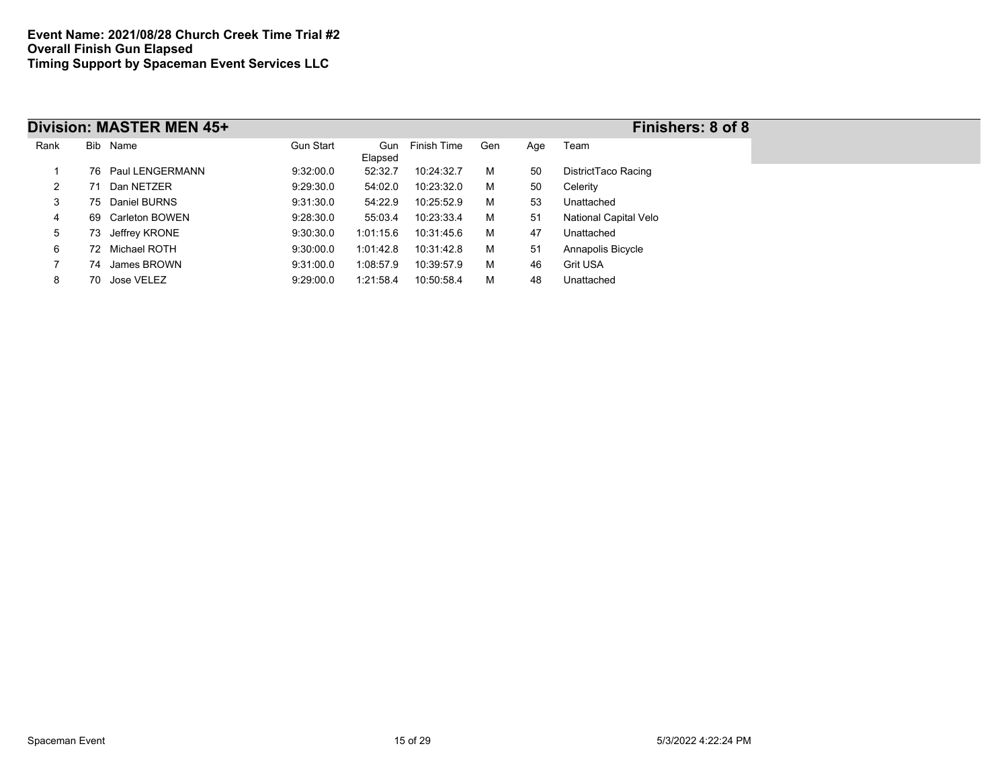|      |    | Division: MASTER MEN 45+ |                  |                |             |     |     | Finishers: 8 of 8     |
|------|----|--------------------------|------------------|----------------|-------------|-----|-----|-----------------------|
| Rank |    | Bib Name                 | <b>Gun Start</b> | Gun<br>Elapsed | Finish Time | Gen | Age | Team                  |
|      |    | 76 Paul LENGERMANN       | 9:32:00.0        | 52:32.7        | 10:24:32.7  | м   | 50  | DistrictTaco Racing   |
| 2    | 71 | Dan NETZER               | 9:29:30.0        | 54:02.0        | 10:23:32.0  | м   | 50  | Celerity              |
| 3    |    | 75 Daniel BURNS          | 9:31:30.0        | 54:22.9        | 10:25:52.9  | м   | 53  | Unattached            |
| 4    |    | 69 Carleton BOWEN        | 9:28:30.0        | 55:03.4        | 10:23:33.4  | м   | 51  | National Capital Velo |
| 5    | 73 | Jeffrey KRONE            | 9:30:30.0        | 1:01:15.6      | 10:31:45.6  | м   | 47  | Unattached            |
| 6    |    | 72 Michael ROTH          | 9:30:00.0        | 1:01:42.8      | 10:31:42.8  | м   | 51  | Annapolis Bicycle     |
|      |    | 74 James BROWN           | 9:31:00.0        | 1:08:57.9      | 10:39:57.9  | м   | 46  | Grit USA              |
| 8    |    | 70 Jose VELEZ            | 9:29:00.0        | 1:21:58.4      | 10:50:58.4  | м   | 48  | Unattached            |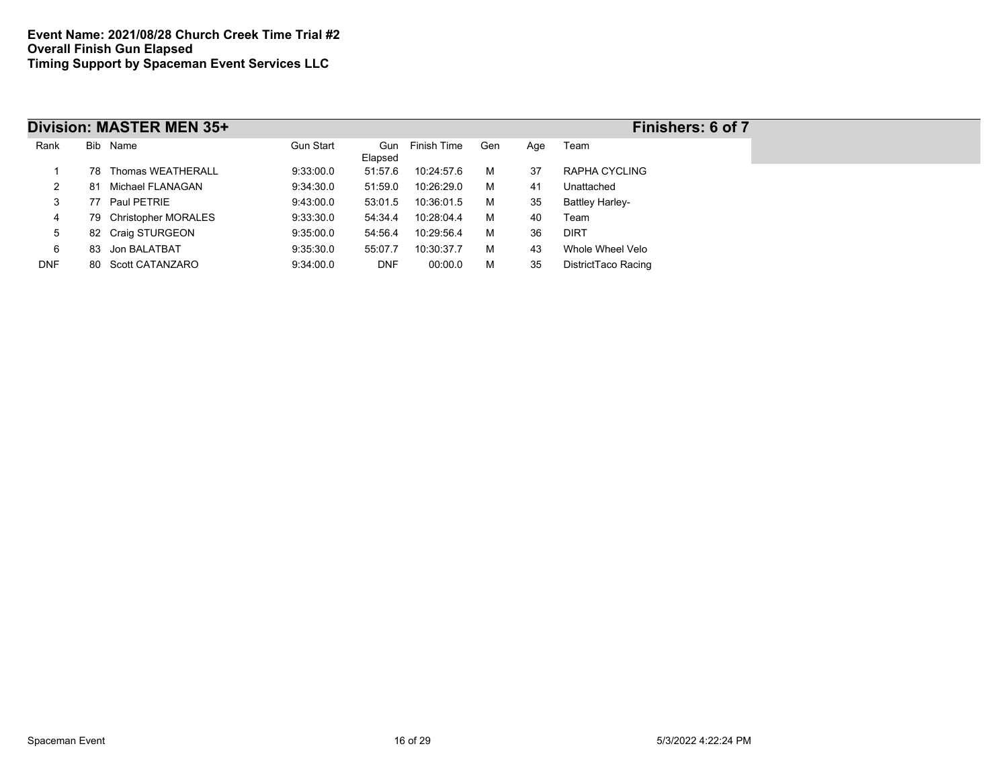|            |     | Division: MASTER MEN 35+ |           |            |                 |     |     | Finishers: 6 of 7      |
|------------|-----|--------------------------|-----------|------------|-----------------|-----|-----|------------------------|
| Rank       |     | Bib Name                 | Gun Start | Elapsed    | Gun Finish Time | Gen | Age | Team                   |
|            | 78. | Thomas WEATHERALL        | 9:33:00.0 | 51:57.6    | 10:24:57.6      | м   | 37  | RAPHA CYCLING          |
| 2          | 81. | Michael FLANAGAN         | 9:34:30.0 | 51:59.0    | 10:26:29.0      | м   | 41  | Unattached             |
| 3          |     | 77 Paul PETRIE           | 9:43:00.0 | 53:01.5    | 10:36:01.5      | м   | 35  | <b>Battley Harley-</b> |
| 4          |     | 79 Christopher MORALES   | 9:33:30.0 | 54:34.4    | 10:28:04.4      | м   | 40  | Team                   |
| 5          |     | 82 Craig STURGEON        | 9:35:00.0 | 54:56.4    | 10:29:56.4      | м   | 36  | <b>DIRT</b>            |
| 6          |     | 83 Jon BALATBAT          | 9:35:30.0 | 55:07.7    | 10:30:37.7      | м   | 43  | Whole Wheel Velo       |
| <b>DNF</b> |     | 80 Scott CATANZARO       | 9:34:00.0 | <b>DNF</b> | 00:00.0         | м   | 35  | DistrictTaco Racing    |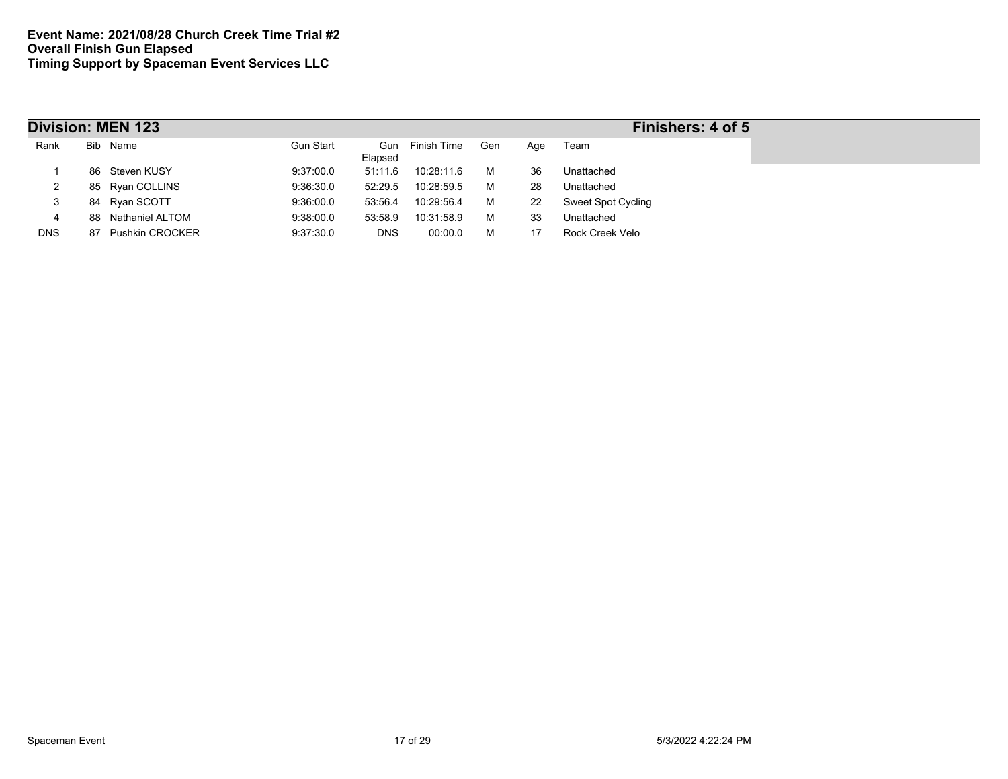|            |    | <b>Division: MEN 123</b> | Finishers: 4 of 5 |            |                 |     |     |                           |
|------------|----|--------------------------|-------------------|------------|-----------------|-----|-----|---------------------------|
| Rank       |    | Bib Name                 | <b>Gun Start</b>  | Elapsed    | Gun Finish Time | Gen | Age | Team                      |
|            |    | 86 Steven KUSY           | 9:37:00.0         | 51:11.6    | 10:28:11.6      | м   | 36  | Unattached                |
| 2          |    | 85 Ryan COLLINS          | 9:36:30.0         | 52:29.5    | 10:28:59.5      | м   | 28  | Unattached                |
| 3          |    | 84 Ryan SCOTT            | 9:36:00.0         | 53:56.4    | 10:29:56.4      | м   | 22  | <b>Sweet Spot Cycling</b> |
| 4          |    | 88 Nathaniel ALTOM       | 9:38:00.0         | 53:58.9    | 10:31:58.9      | м   | 33  | Unattached                |
| <b>DNS</b> | 87 | <b>Pushkin CROCKER</b>   | 9:37:30.0         | <b>DNS</b> | 00:00.0         | м   | 17  | Rock Creek Velo           |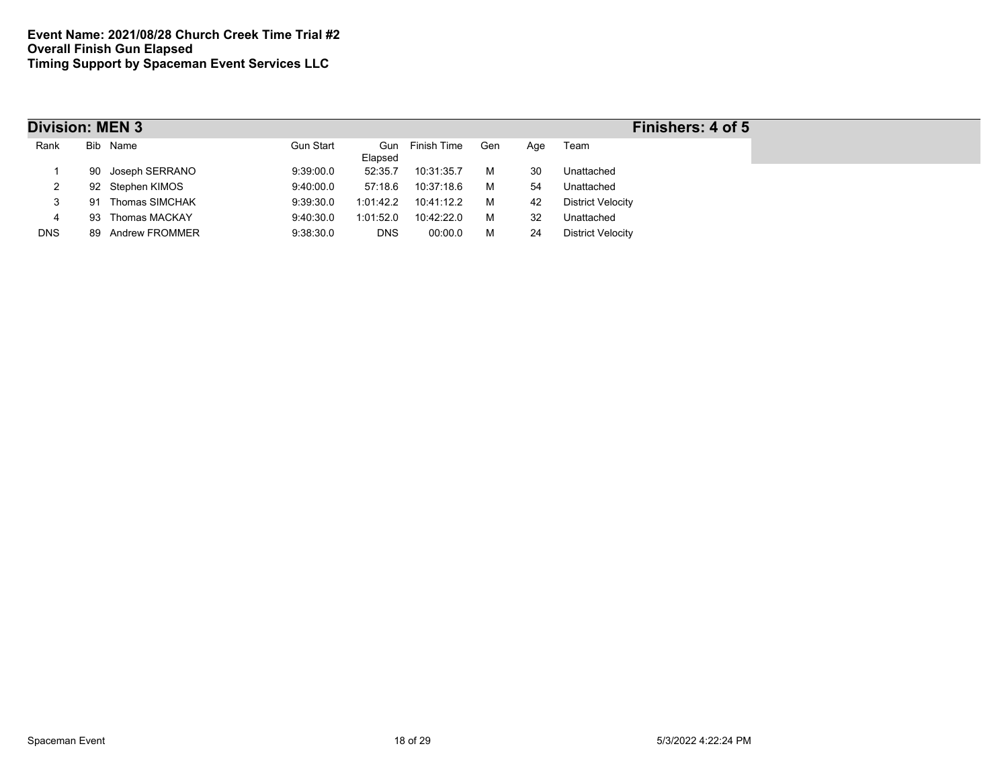|            | <b>Division: MEN 3</b> |                   |                  |            |                 |     |     |                          |  |  |  |
|------------|------------------------|-------------------|------------------|------------|-----------------|-----|-----|--------------------------|--|--|--|
| Rank       |                        | Bib Name          | <b>Gun Start</b> | Elapsed    | Gun Finish Time | Gen | Age | Team                     |  |  |  |
|            | 90                     | Joseph SERRANO    | 9:39:00.0        | 52:35.7    | 10:31:35.7      | м   | 30  | Unattached               |  |  |  |
| ∠          |                        | 92 Stephen KIMOS  | 9.40:00.0        | 57:18.6    | 10:37:18.6      | м   | -54 | Unattached               |  |  |  |
| 3          | 91                     | Thomas SIMCHAK    | 9:39:30.0        | 1:01:42.2  | 10:41:12.2      | м   | 42  | <b>District Velocity</b> |  |  |  |
| 4          | 93                     | Thomas MACKAY     | 9:40:30.0        | 1:01:52.0  | 10:42:22.0      | м   | 32  | Unattached               |  |  |  |
| <b>DNS</b> |                        | 89 Andrew FROMMER | 9:38:30.0        | <b>DNS</b> | 00:00.0         | м   | 24  | <b>District Velocity</b> |  |  |  |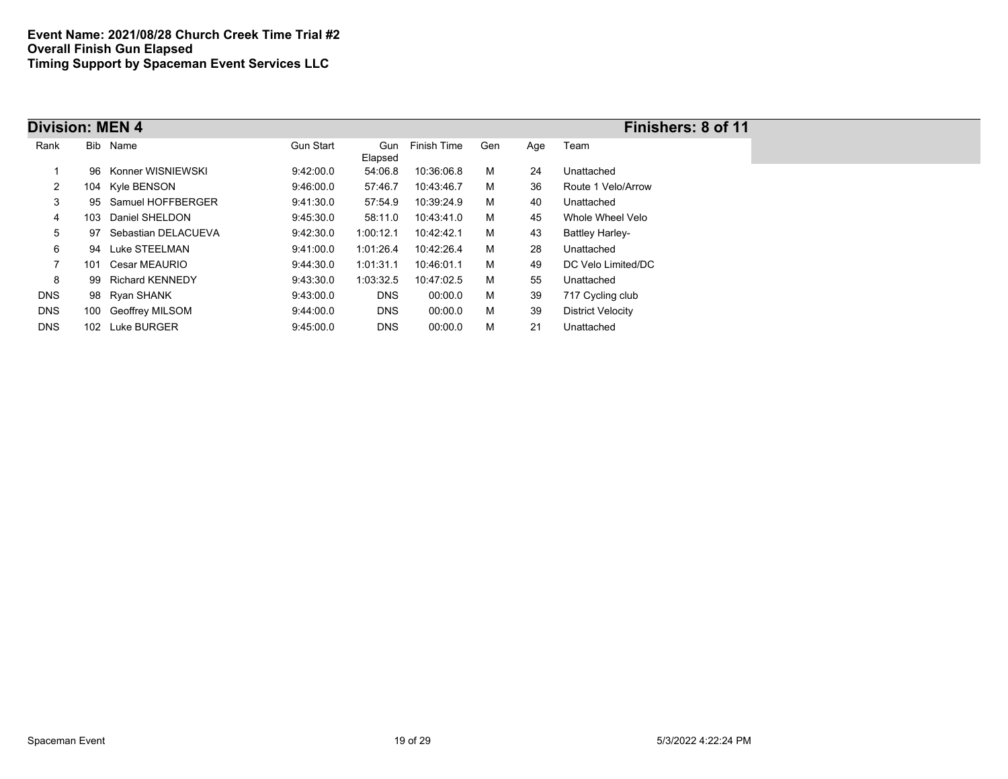| <b>Division: MEN 4</b> |     |                        |                  |                |             |     |     | Finishers: 8 of 11       |
|------------------------|-----|------------------------|------------------|----------------|-------------|-----|-----|--------------------------|
| Rank                   |     | Bib Name               | <b>Gun Start</b> | Gun<br>Elapsed | Finish Time | Gen | Age | Team                     |
|                        | 96. | Konner WISNIEWSKI      | 9:42:00.0        | 54:06.8        | 10:36:06.8  | м   | 24  | Unattached               |
| 2                      |     | 104 Kyle BENSON        | 9:46:00.0        | 57:46.7        | 10:43:46.7  | м   | 36  | Route 1 Velo/Arrow       |
| 3                      |     | 95 Samuel HOFFBERGER   | 9:41:30.0        | 57:54.9        | 10:39:24.9  | м   | 40  | Unattached               |
| 4                      | 103 | Daniel SHELDON         | 9:45:30.0        | 58:11.0        | 10:43:41.0  | м   | 45  | Whole Wheel Velo         |
| 5                      |     | 97 Sebastian DELACUEVA | 9:42:30.0        | 1:00:12.1      | 10:42:42.1  | м   | 43  | <b>Battley Harley-</b>   |
| 6                      |     | 94 Luke STEELMAN       | 9:41:00.0        | 1:01:26.4      | 10:42:26.4  | м   | 28  | Unattached               |
| $\overline{7}$         | 101 | Cesar MEAURIO          | 9:44:30.0        | 1:01:31.1      | 10:46:01.1  | м   | 49  | DC Velo Limited/DC       |
| 8                      |     | 99 Richard KENNEDY     | 9:43:30.0        | 1:03:32.5      | 10:47:02.5  | м   | 55  | Unattached               |
| <b>DNS</b>             |     | 98 Ryan SHANK          | 9.43.00.0        | <b>DNS</b>     | 00:00.0     | м   | 39  | 717 Cycling club         |
| <b>DNS</b>             |     | 100 Geoffrey MILSOM    | 9:44:00.0        | <b>DNS</b>     | 00:00.0     | м   | 39  | <b>District Velocity</b> |
| <b>DNS</b>             |     | 102 Luke BURGER        | 9:45:00.0        | <b>DNS</b>     | 00:00.0     | М   | 21  | Unattached               |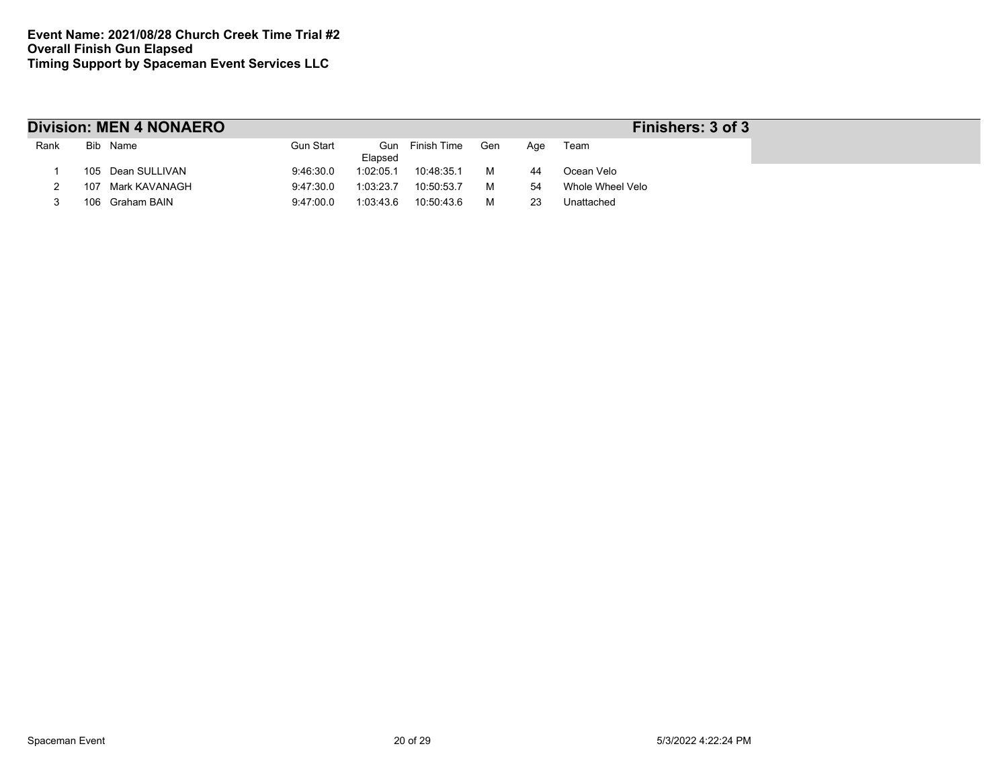|      |     | <b>Division: MEN 4 NONAERO</b> |                  | Finishers: 3 of 3 |                 |     |     |                  |
|------|-----|--------------------------------|------------------|-------------------|-----------------|-----|-----|------------------|
| Rank |     | Bib Name                       | <b>Gun Start</b> | Elapsed           | Gun Finish Time | Gen | Age | Team             |
|      |     | 105 Dean SULLIVAN              | 9:46:30.0        | 1:02:05.1         | 10:48:35.1      | м   | 44  | Ocean Velo       |
|      | 107 | Mark KAVANAGH                  | 9:47:30.0        | 1:03:23.7         | 10:50:53.7      | м   | 54  | Whole Wheel Velo |
|      |     | 106 Graham BAIN                | 9:47:00.0        | 1:03:43.6         | 10:50:43.6      | м   | 23  | Unattached       |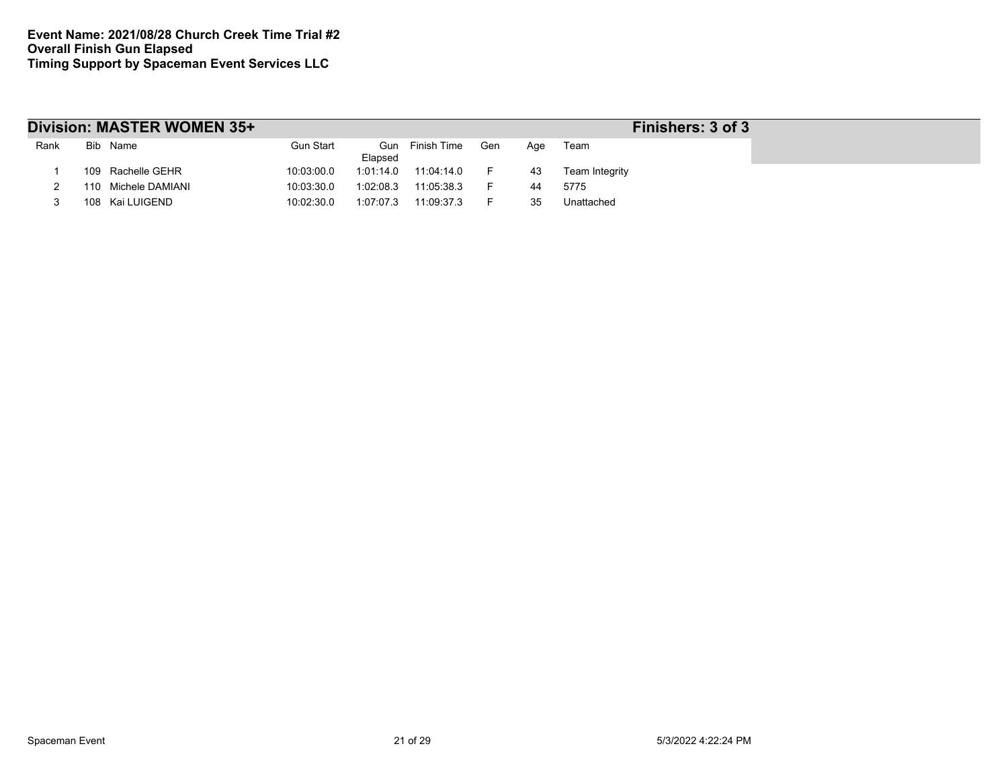|      | Division: MASTER WOMEN 35+ |            | Finishers: 3 of 3 |                 |     |     |                |  |
|------|----------------------------|------------|-------------------|-----------------|-----|-----|----------------|--|
| Rank | Bib Name                   | Gun Start  | Elapsed           | Gun Finish Time | Gen | Aae | Team           |  |
|      | 109 Rachelle GEHR          | 10:03:00.0 | 1:01:14.0         | 11:04:14.0      | F.  | 43  | Team Integrity |  |
|      | 110 Michele DAMIANI        | 10:03:30.0 | 1:02:08.3         | 11:05:38.3      | -   | 44  | 5775           |  |
|      | 108 Kai LUIGEND            | 10:02:30.0 | 1:07:07.3         | 11:09:37.3      | ►   | 35  | Unattached     |  |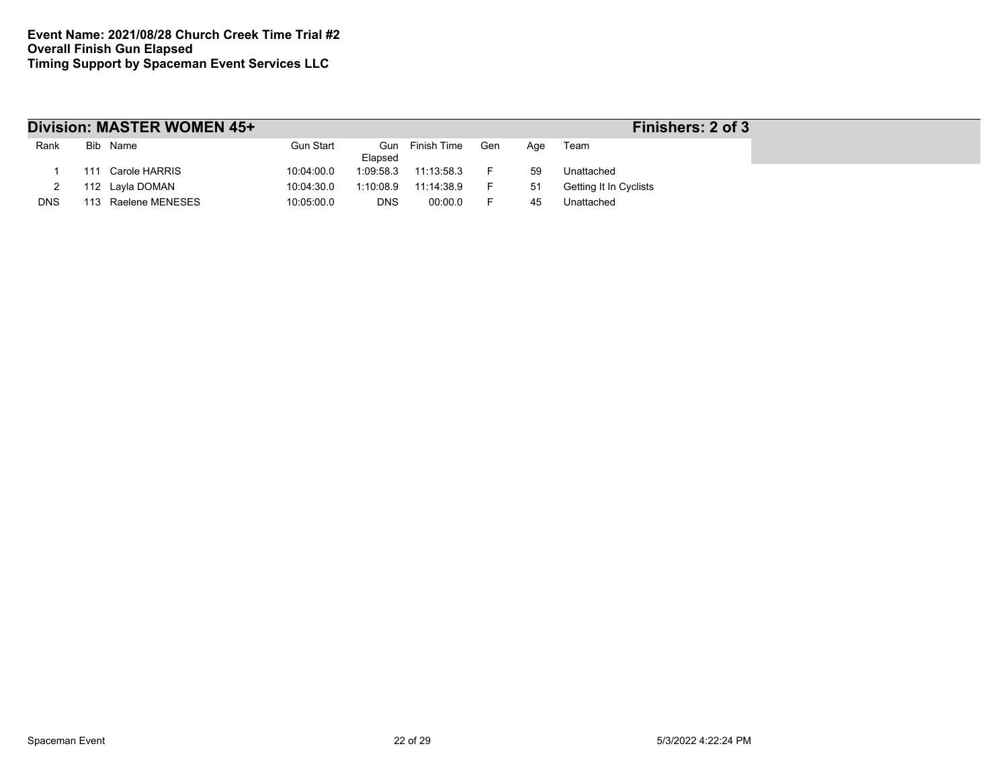|            |     | Division: MASTER WOMEN 45+ |            | Finishers: 2 of 3 |                 |     |     |                        |
|------------|-----|----------------------------|------------|-------------------|-----------------|-----|-----|------------------------|
| Rank       |     | Bib Name                   | Gun Start  | Elapsed           | Gun Finish Time | Gen | Aae | Team                   |
|            | 111 | Carole HARRIS              | 10:04:00.0 | 1:09:58.3         | 11:13:58.3      | -   | 59  | Unattached             |
|            |     | 112 Layla DOMAN            | 10:04:30.0 | 1:10:08.9         | 11:14:38.9      | н.  | 51  | Getting It In Cyclists |
| <b>DNS</b> | 113 | Raelene MENESES            | 10:05:00.0 | <b>DNS</b>        | 00:00.0         |     | 45  | Unattached             |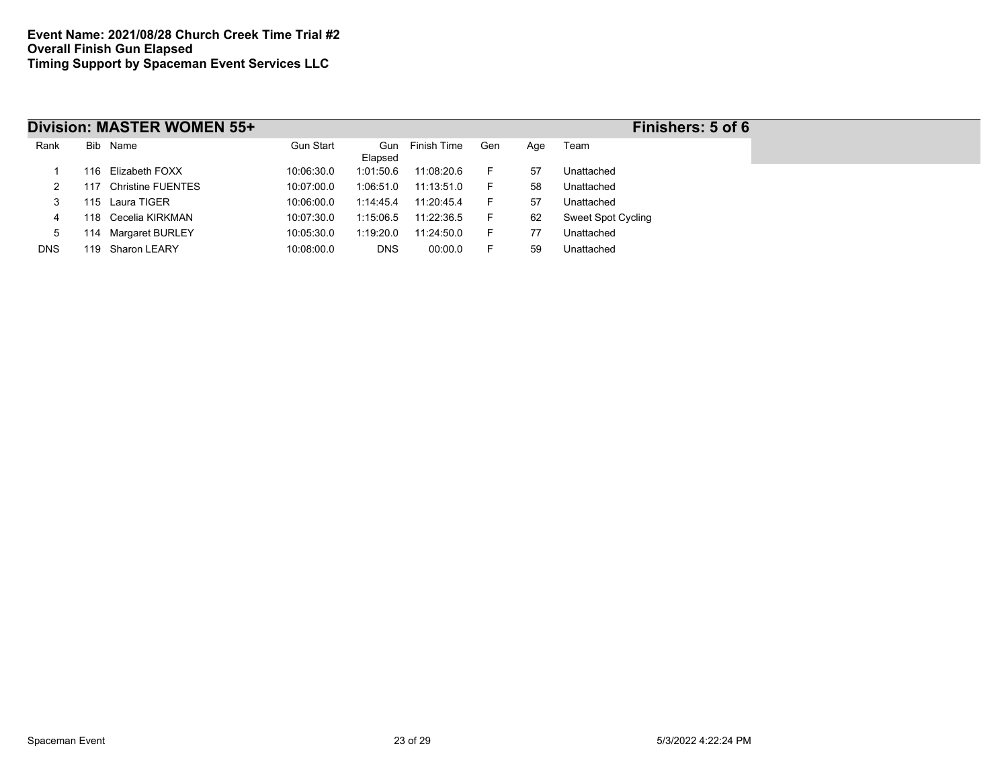|            |     | Division: MASTER WOMEN 55+ |            |            |                 |     |     | Finishers: 5 of 6         |
|------------|-----|----------------------------|------------|------------|-----------------|-----|-----|---------------------------|
| Rank       |     | Bib Name                   | Gun Start  | Elapsed    | Gun Finish Time | Gen | Age | Team                      |
|            |     | 116 Elizabeth FOXX         | 10:06:30.0 | 1:01:50.6  | 11:08:20.6      | н.  | 57  | Unattached                |
|            | 117 | <b>Christine FUENTES</b>   | 10:07:00.0 | 1:06:51.0  | 11:13:51.0      | F.  | 58  | Unattached                |
| 3          |     | 115 Laura TIGER            | 10:06:00.0 | 1:14:45.4  | 11:20:45.4      | F.  | 57  | Unattached                |
|            |     | 118 Cecelia KIRKMAN        | 10:07:30.0 | 1:15:06.5  | 11:22:36.5      | F.  | 62  | <b>Sweet Spot Cycling</b> |
| 5          |     | 114 Margaret BURLEY        | 10:05:30.0 | 1:19:20.0  | 11:24:50.0      | F.  | 77  | Unattached                |
| <b>DNS</b> |     | 119 Sharon LEARY           | 10:08:00.0 | <b>DNS</b> | 00:00.0         |     | 59  | Unattached                |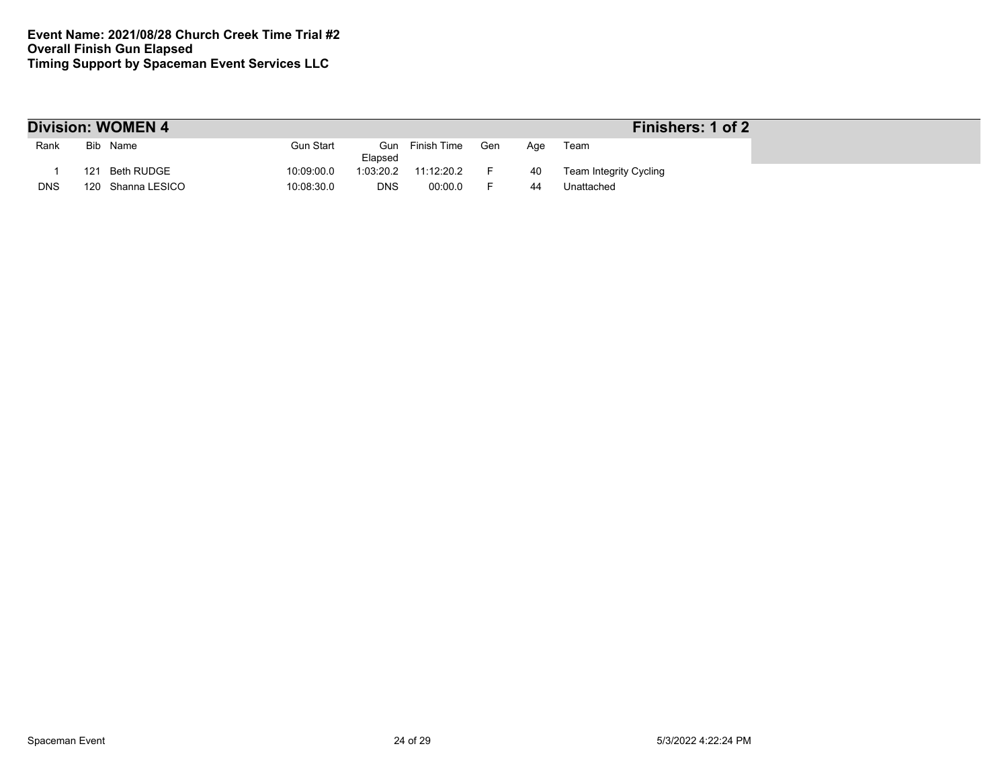| <b>Division: WOMEN 4</b><br>Finishers: 1 of 2 |     |                   |                          |                 |     |     |                        |  |  |  |
|-----------------------------------------------|-----|-------------------|--------------------------|-----------------|-----|-----|------------------------|--|--|--|
| Rank                                          |     | Bib Name          | Gun Start<br>Elapsed     | Gun Finish Time | Gen | Aqe | Team                   |  |  |  |
|                                               | 121 | Beth RUDGE        | 10:09:00.0<br>1:03:20.2  | 11:12:20.2      |     | 40  | Team Integrity Cycling |  |  |  |
| <b>DNS</b>                                    |     | 120 Shanna LESICO | 10:08:30.0<br><b>DNS</b> | 00:00.0         |     | 44  | Unattached             |  |  |  |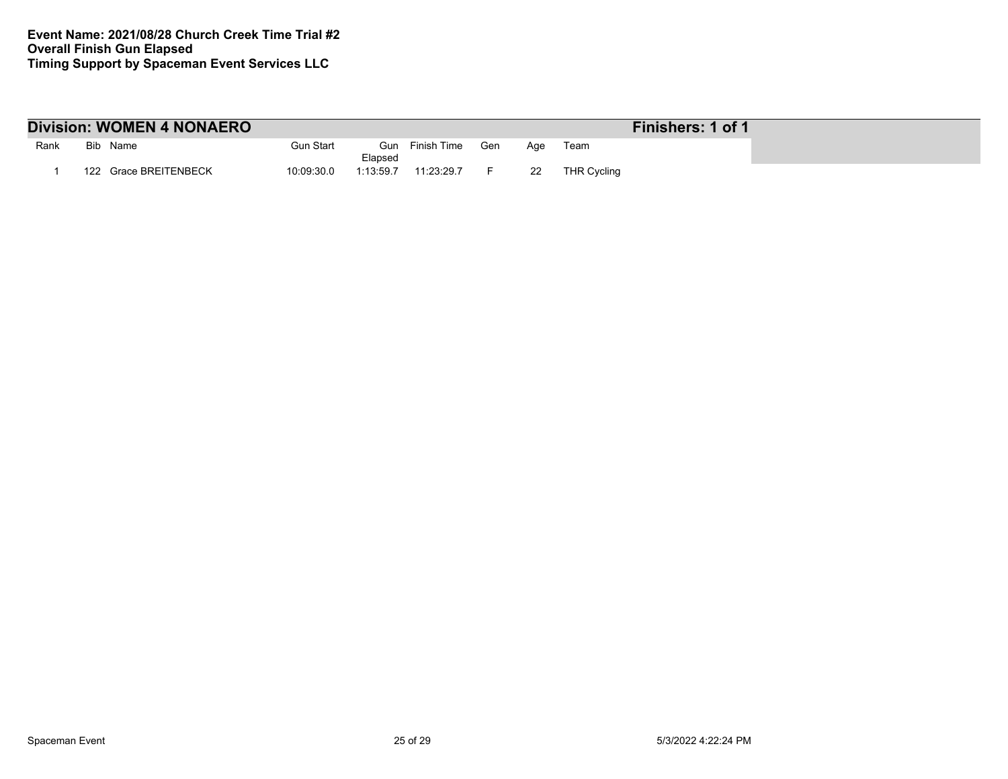| <b>Division: WOMEN 4 NONAERO</b> |  |                       |            |                |             |     |     |                    | Finishers: 1 of 1 |
|----------------------------------|--|-----------------------|------------|----------------|-------------|-----|-----|--------------------|-------------------|
| Rank                             |  | Bib Name              | Gun Start  | Gun<br>Elapsed | Finish Time | Gen | Aae | Team               |                   |
|                                  |  | 122 Grace BREITENBECK | 10:09:30.0 | 1:13:59.7      | 11:23:29.7  |     | -22 | <b>THR Cycling</b> |                   |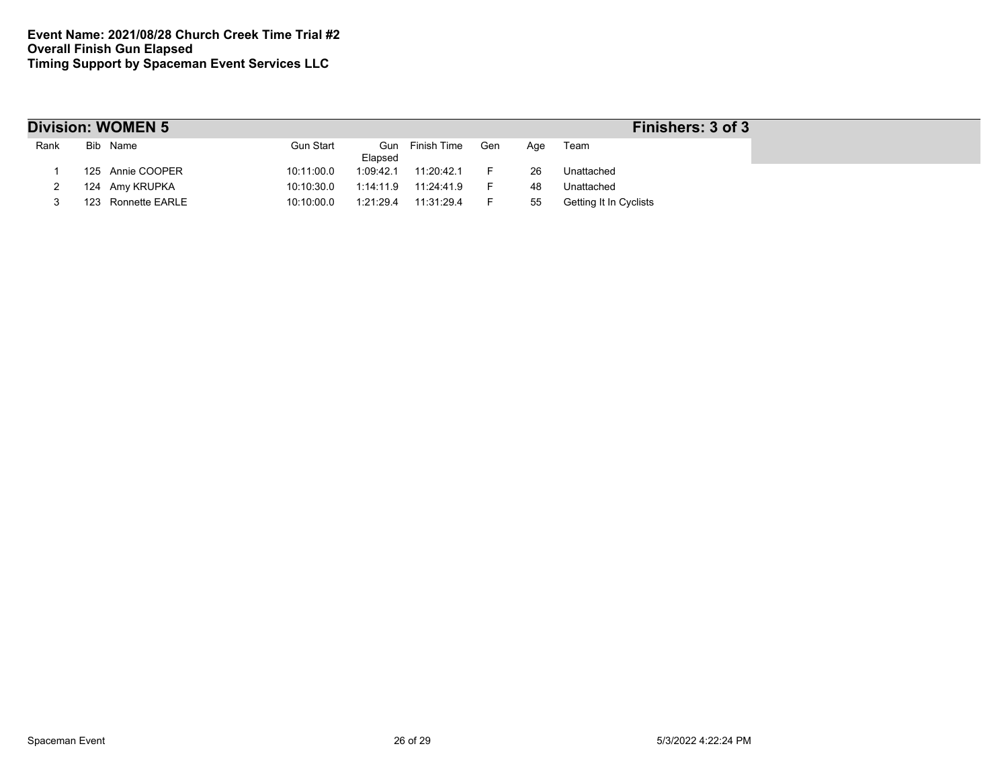|      | <b>Division: WOMEN 5</b> | Finishers: 3 of 3           |                 |     |     |                               |  |
|------|--------------------------|-----------------------------|-----------------|-----|-----|-------------------------------|--|
| Rank | Bib Name                 | <b>Gun Start</b><br>Elapsed | Gun Finish Time | Gen | Aqe | Team                          |  |
|      | 125 Annie COOPER         | 10:11:00.0<br>1:09:42.1     | 11:20:42.1      |     | 26  | Unattached                    |  |
|      | 124 Amy KRUPKA           | 10:10:30.0<br>1:14:11.9     | 11:24:41.9      |     | 48  | Unattached                    |  |
|      | 123 Ronnette EARLE       | 10:10:00.0<br>1:21:29.4     | 11:31:29.4      |     | 55  | <b>Getting It In Cyclists</b> |  |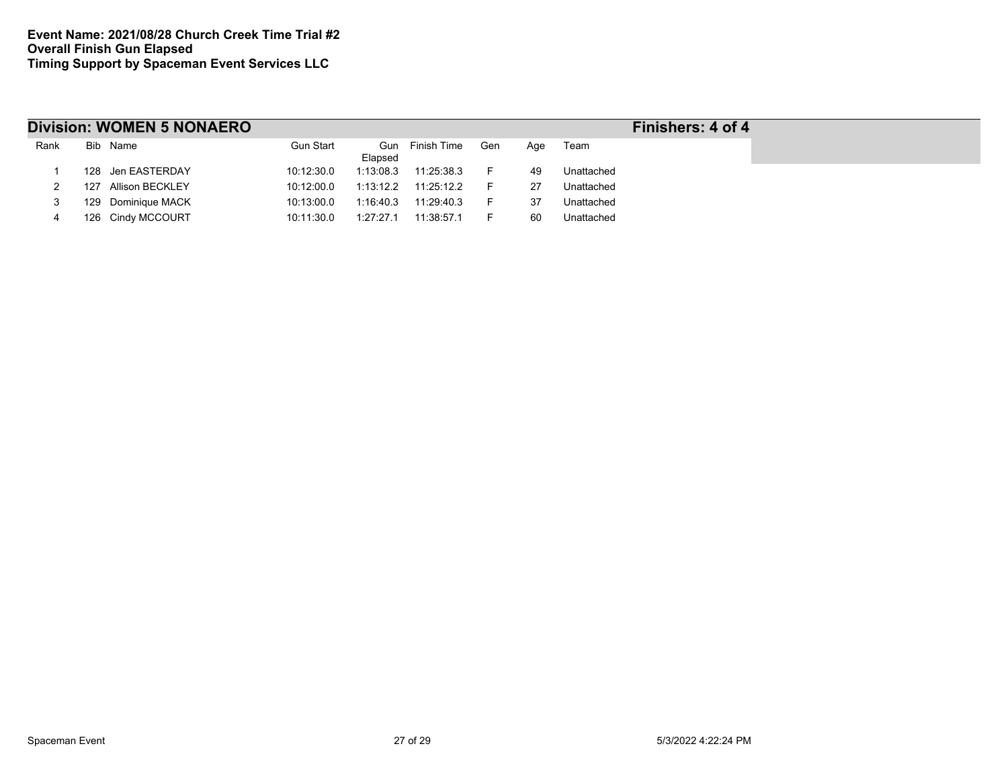|      |     | <b>Division: WOMEN 5 NONAERO</b> | Finishers: 4 of 4 |                |             |     |     |            |  |
|------|-----|----------------------------------|-------------------|----------------|-------------|-----|-----|------------|--|
| Rank |     | Bib Name                         | Gun Start         | Gun<br>Elapsed | Finish Time | Gen | Age | Team       |  |
|      |     | 128 Jen EASTERDAY                | 10:12:30.0        | 1:13:08.3      | 11:25:38.3  |     | 49  | Unattached |  |
|      | 127 | Allison BECKLEY                  | 10:12:00.0        | 1:13:12.2      | 11:25:12.2  |     | 27  | Unattached |  |
|      | 129 | <b>Dominique MACK</b>            | 10:13:00.0        | 1:16:40.3      | 11:29:40.3  |     | 37  | Unattached |  |
|      |     | 126 Cindy MCCOURT                | 10:11:30.0        | 1:27:27.1      | 11:38:57.1  |     | 60  | Unattached |  |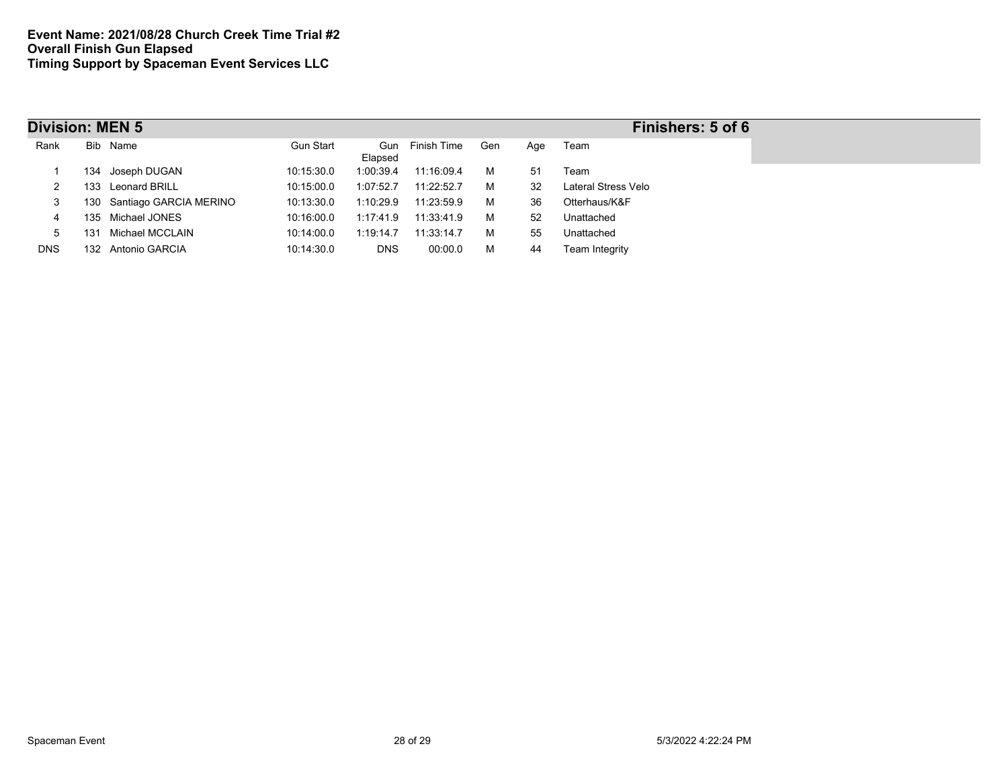| <b>Division: MEN 5</b> |     |                        |                  |                |             |     |     | Finishers: 5 of 6   |
|------------------------|-----|------------------------|------------------|----------------|-------------|-----|-----|---------------------|
| Rank                   |     | Bib Name               | <b>Gun Start</b> | Gun<br>Elapsed | Finish Time | Gen | Age | Team                |
|                        | 134 | Joseph DUGAN           | 10:15:30.0       | 1:00:39.4      | 11:16:09.4  | м   | 51  | Team                |
|                        |     | 133 Leonard BRILL      | 10:15:00.0       | 1:07:52.7      | 11:22:52.7  | м   | 32  | Lateral Stress Velo |
| 3                      | 130 | Santiago GARCIA MERINO | 10:13:30.0       | 1:10:29.9      | 11:23:59.9  | м   | 36  | Otterhaus/K&F       |
| 4                      |     | 135 Michael JONES      | 10:16:00.0       | 1:17:41.9      | 11:33:41.9  | м   | 52  | Unattached          |
| 5                      | 31  | Michael MCCLAIN        | 10:14:00.0       | 1:19:14.7      | 11:33:14.7  | М   | 55  | Unattached          |
| <b>DNS</b>             | 132 | Antonio GARCIA         | 10:14:30.0       | <b>DNS</b>     | 00:00.0     | м   | 44  | Team Integrity      |